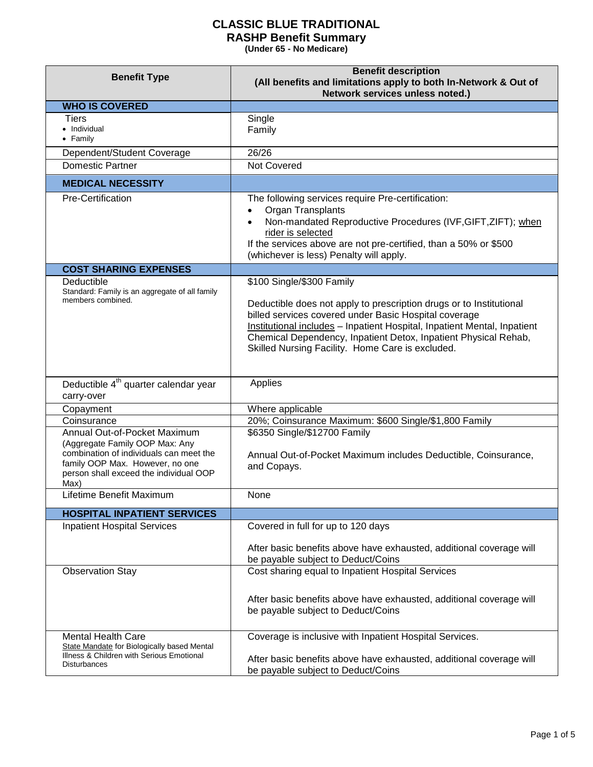| <b>Benefit Type</b>                                                                                                                                                                            | <b>Benefit description</b><br>(All benefits and limitations apply to both In-Network & Out of<br>Network services unless noted.)                                                                                                                                                                                                                             |
|------------------------------------------------------------------------------------------------------------------------------------------------------------------------------------------------|--------------------------------------------------------------------------------------------------------------------------------------------------------------------------------------------------------------------------------------------------------------------------------------------------------------------------------------------------------------|
| <b>WHO IS COVERED</b>                                                                                                                                                                          |                                                                                                                                                                                                                                                                                                                                                              |
| Tiers<br>• Individual<br>$\bullet$ Family                                                                                                                                                      | Single<br>Family                                                                                                                                                                                                                                                                                                                                             |
| Dependent/Student Coverage                                                                                                                                                                     | 26/26                                                                                                                                                                                                                                                                                                                                                        |
| <b>Domestic Partner</b>                                                                                                                                                                        | Not Covered                                                                                                                                                                                                                                                                                                                                                  |
| <b>MEDICAL NECESSITY</b>                                                                                                                                                                       |                                                                                                                                                                                                                                                                                                                                                              |
| Pre-Certification                                                                                                                                                                              | The following services require Pre-certification:<br>Organ Transplants<br>$\bullet$<br>Non-mandated Reproductive Procedures (IVF, GIFT, ZIFT); when<br>$\bullet$<br>rider is selected<br>If the services above are not pre-certified, than a 50% or \$500<br>(whichever is less) Penalty will apply.                                                         |
| <b>COST SHARING EXPENSES</b>                                                                                                                                                                   |                                                                                                                                                                                                                                                                                                                                                              |
| Deductible<br>Standard: Family is an aggregate of all family<br>members combined.                                                                                                              | \$100 Single/\$300 Family<br>Deductible does not apply to prescription drugs or to Institutional<br>billed services covered under Basic Hospital coverage<br>Institutional includes - Inpatient Hospital, Inpatient Mental, Inpatient<br>Chemical Dependency, Inpatient Detox, Inpatient Physical Rehab,<br>Skilled Nursing Facility. Home Care is excluded. |
| Deductible 4 <sup>th</sup> quarter calendar year<br>carry-over                                                                                                                                 | Applies                                                                                                                                                                                                                                                                                                                                                      |
| Copayment                                                                                                                                                                                      | Where applicable                                                                                                                                                                                                                                                                                                                                             |
| Coinsurance                                                                                                                                                                                    | 20%; Coinsurance Maximum: \$600 Single/\$1,800 Family                                                                                                                                                                                                                                                                                                        |
| Annual Out-of-Pocket Maximum<br>(Aggregate Family OOP Max: Any<br>combination of individuals can meet the<br>family OOP Max. However, no one<br>person shall exceed the individual OOP<br>Max) | \$6350 Single/\$12700 Family<br>Annual Out-of-Pocket Maximum includes Deductible, Coinsurance,<br>and Copays.                                                                                                                                                                                                                                                |
| Lifetime Benefit Maximum                                                                                                                                                                       | None                                                                                                                                                                                                                                                                                                                                                         |
| <b>HOSPITAL INPATIENT SERVICES</b>                                                                                                                                                             |                                                                                                                                                                                                                                                                                                                                                              |
| <b>Inpatient Hospital Services</b>                                                                                                                                                             | Covered in full for up to 120 days<br>After basic benefits above have exhausted, additional coverage will<br>be payable subject to Deduct/Coins                                                                                                                                                                                                              |
| <b>Observation Stay</b>                                                                                                                                                                        | Cost sharing equal to Inpatient Hospital Services<br>After basic benefits above have exhausted, additional coverage will<br>be payable subject to Deduct/Coins                                                                                                                                                                                               |
| <b>Mental Health Care</b><br>State Mandate for Biologically based Mental<br>Illness & Children with Serious Emotional<br><b>Disturbances</b>                                                   | Coverage is inclusive with Inpatient Hospital Services.<br>After basic benefits above have exhausted, additional coverage will<br>be payable subject to Deduct/Coins                                                                                                                                                                                         |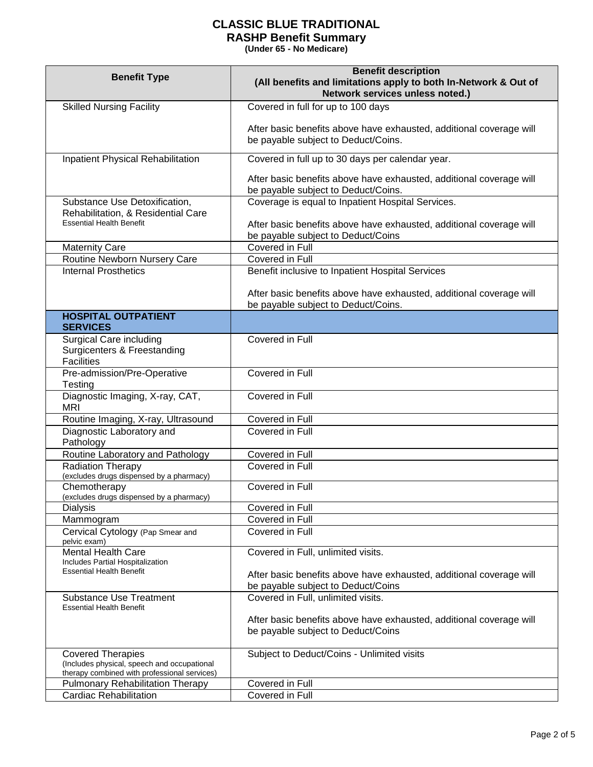| <b>Benefit Type</b>                                                                                                     | <b>Benefit description</b><br>(All benefits and limitations apply to both In-Network & Out of<br>Network services unless noted.)                               |
|-------------------------------------------------------------------------------------------------------------------------|----------------------------------------------------------------------------------------------------------------------------------------------------------------|
| <b>Skilled Nursing Facility</b>                                                                                         | Covered in full for up to 100 days                                                                                                                             |
|                                                                                                                         | After basic benefits above have exhausted, additional coverage will<br>be payable subject to Deduct/Coins.                                                     |
| Inpatient Physical Rehabilitation                                                                                       | Covered in full up to 30 days per calendar year.                                                                                                               |
|                                                                                                                         | After basic benefits above have exhausted, additional coverage will<br>be payable subject to Deduct/Coins.                                                     |
| Substance Use Detoxification,<br>Rehabilitation, & Residential Care<br><b>Essential Health Benefit</b>                  | Coverage is equal to Inpatient Hospital Services.<br>After basic benefits above have exhausted, additional coverage will<br>be payable subject to Deduct/Coins |
| <b>Maternity Care</b>                                                                                                   | Covered in Full                                                                                                                                                |
| Routine Newborn Nursery Care                                                                                            | Covered in Full                                                                                                                                                |
| <b>Internal Prosthetics</b>                                                                                             | Benefit inclusive to Inpatient Hospital Services                                                                                                               |
|                                                                                                                         | After basic benefits above have exhausted, additional coverage will<br>be payable subject to Deduct/Coins.                                                     |
| <b>HOSPITAL OUTPATIENT</b><br><b>SERVICES</b>                                                                           |                                                                                                                                                                |
| Surgical Care including<br>Surgicenters & Freestanding<br><b>Facilities</b>                                             | Covered in Full                                                                                                                                                |
| Pre-admission/Pre-Operative<br>Testing                                                                                  | Covered in Full                                                                                                                                                |
| Diagnostic Imaging, X-ray, CAT,<br><b>MRI</b>                                                                           | Covered in Full                                                                                                                                                |
| Routine Imaging, X-ray, Ultrasound                                                                                      | Covered in Full                                                                                                                                                |
| Diagnostic Laboratory and<br>Pathology                                                                                  | Covered in Full                                                                                                                                                |
| Routine Laboratory and Pathology                                                                                        | Covered in Full                                                                                                                                                |
| <b>Radiation Therapy</b><br>(excludes drugs dispensed by a pharmacy)                                                    | Covered in Full                                                                                                                                                |
| Chemotherapy<br>(excludes drugs dispensed by a pharmacy)                                                                | Covered in Full                                                                                                                                                |
| Dialysis                                                                                                                | Covered in Full                                                                                                                                                |
| Mammogram                                                                                                               | Covered in Full                                                                                                                                                |
| Cervical Cytology (Pap Smear and<br>pelvic exam)                                                                        | Covered in Full                                                                                                                                                |
| Mental Health Care<br>Includes Partial Hospitalization                                                                  | Covered in Full, unlimited visits.                                                                                                                             |
| <b>Essential Health Benefit</b>                                                                                         | After basic benefits above have exhausted, additional coverage will<br>be payable subject to Deduct/Coins                                                      |
| <b>Substance Use Treatment</b><br><b>Essential Health Benefit</b>                                                       | Covered in Full, unlimited visits.                                                                                                                             |
|                                                                                                                         | After basic benefits above have exhausted, additional coverage will<br>be payable subject to Deduct/Coins                                                      |
| <b>Covered Therapies</b><br>(Includes physical, speech and occupational<br>therapy combined with professional services) | Subject to Deduct/Coins - Unlimited visits                                                                                                                     |
| <b>Pulmonary Rehabilitation Therapy</b>                                                                                 | Covered in Full                                                                                                                                                |
| <b>Cardiac Rehabilitation</b>                                                                                           | Covered in Full                                                                                                                                                |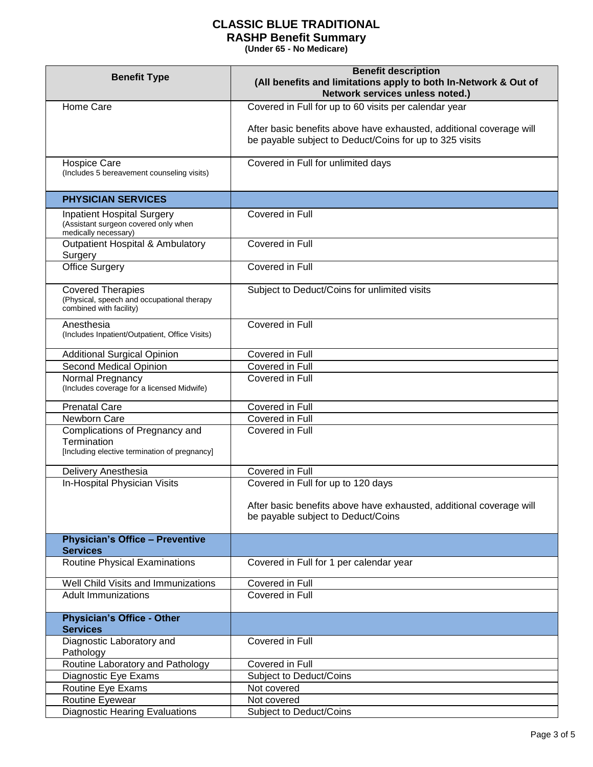| <b>Benefit Type</b>                                                                               | <b>Benefit description</b><br>(All benefits and limitations apply to both In-Network & Out of<br>Network services unless noted.) |
|---------------------------------------------------------------------------------------------------|----------------------------------------------------------------------------------------------------------------------------------|
| Home Care                                                                                         | Covered in Full for up to 60 visits per calendar year                                                                            |
|                                                                                                   | After basic benefits above have exhausted, additional coverage will<br>be payable subject to Deduct/Coins for up to 325 visits   |
| <b>Hospice Care</b><br>(Includes 5 bereavement counseling visits)                                 | Covered in Full for unlimited days                                                                                               |
| <b>PHYSICIAN SERVICES</b>                                                                         |                                                                                                                                  |
| <b>Inpatient Hospital Surgery</b><br>(Assistant surgeon covered only when<br>medically necessary) | Covered in Full                                                                                                                  |
| <b>Outpatient Hospital &amp; Ambulatory</b><br>Surgery                                            | Covered in Full                                                                                                                  |
| <b>Office Surgery</b>                                                                             | Covered in Full                                                                                                                  |
| <b>Covered Therapies</b><br>(Physical, speech and occupational therapy<br>combined with facility) | Subject to Deduct/Coins for unlimited visits                                                                                     |
| Anesthesia<br>(Includes Inpatient/Outpatient, Office Visits)                                      | Covered in Full                                                                                                                  |
| <b>Additional Surgical Opinion</b>                                                                | Covered in Full                                                                                                                  |
| Second Medical Opinion                                                                            | Covered in Full                                                                                                                  |
| Normal Pregnancy<br>(Includes coverage for a licensed Midwife)                                    | Covered in Full                                                                                                                  |
| <b>Prenatal Care</b>                                                                              | Covered in Full                                                                                                                  |
| Newborn Care                                                                                      | Covered in Full                                                                                                                  |
| Complications of Pregnancy and<br>Termination<br>[Including elective termination of pregnancy]    | Covered in Full                                                                                                                  |
| Delivery Anesthesia                                                                               | Covered in Full                                                                                                                  |
| In-Hospital Physician Visits                                                                      | Covered in Full for up to 120 days<br>After basic benefits above have exhausted, additional coverage will                        |
|                                                                                                   | be payable subject to Deduct/Coins                                                                                               |
| <b>Physician's Office - Preventive</b><br><b>Services</b>                                         |                                                                                                                                  |
| <b>Routine Physical Examinations</b>                                                              | Covered in Full for 1 per calendar year                                                                                          |
| Well Child Visits and Immunizations                                                               | Covered in Full                                                                                                                  |
| <b>Adult Immunizations</b>                                                                        | Covered in Full                                                                                                                  |
| <b>Physician's Office - Other</b><br><b>Services</b>                                              |                                                                                                                                  |
| Diagnostic Laboratory and<br>Pathology                                                            | Covered in Full                                                                                                                  |
| Routine Laboratory and Pathology                                                                  | Covered in Full                                                                                                                  |
| Diagnostic Eye Exams                                                                              | Subject to Deduct/Coins                                                                                                          |
| Routine Eye Exams                                                                                 | Not covered                                                                                                                      |
| Routine Eyewear                                                                                   | Not covered                                                                                                                      |
| Diagnostic Hearing Evaluations                                                                    | Subject to Deduct/Coins                                                                                                          |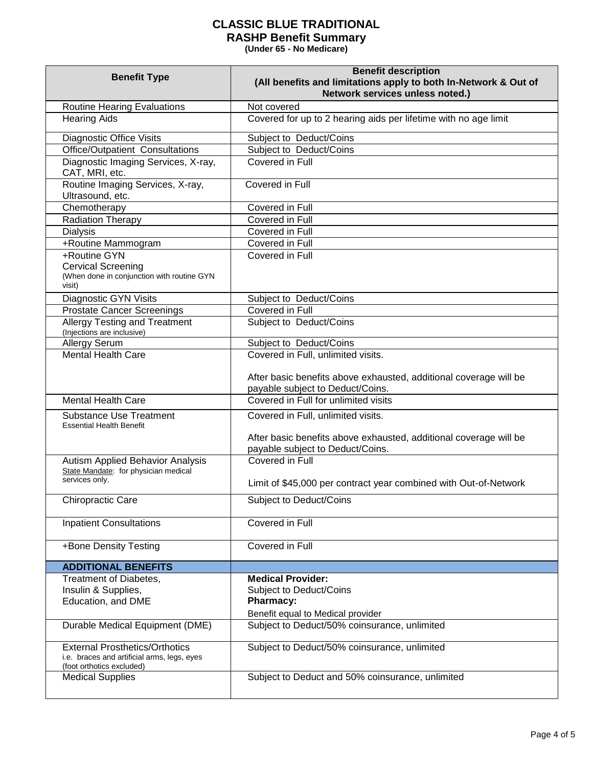| <b>Benefit Type</b>                                                                                               | <b>Benefit description</b><br>(All benefits and limitations apply to both In-Network & Out of<br>Network services unless noted.) |
|-------------------------------------------------------------------------------------------------------------------|----------------------------------------------------------------------------------------------------------------------------------|
| <b>Routine Hearing Evaluations</b>                                                                                | Not covered                                                                                                                      |
| <b>Hearing Aids</b>                                                                                               | Covered for up to 2 hearing aids per lifetime with no age limit                                                                  |
| <b>Diagnostic Office Visits</b>                                                                                   | Subject to Deduct/Coins                                                                                                          |
| Office/Outpatient Consultations                                                                                   | Subject to Deduct/Coins                                                                                                          |
| Diagnostic Imaging Services, X-ray,<br>CAT, MRI, etc.                                                             | Covered in Full                                                                                                                  |
| Routine Imaging Services, X-ray,<br>Ultrasound, etc.                                                              | Covered in Full                                                                                                                  |
| Chemotherapy                                                                                                      | Covered in Full                                                                                                                  |
| <b>Radiation Therapy</b>                                                                                          | Covered in Full                                                                                                                  |
| <b>Dialysis</b>                                                                                                   | Covered in Full                                                                                                                  |
| +Routine Mammogram                                                                                                | Covered in Full                                                                                                                  |
| +Routine GYN<br><b>Cervical Screening</b><br>(When done in conjunction with routine GYN<br>visit)                 | Covered in Full                                                                                                                  |
| Diagnostic GYN Visits                                                                                             | Subject to Deduct/Coins                                                                                                          |
| <b>Prostate Cancer Screenings</b>                                                                                 | Covered in Full                                                                                                                  |
| Allergy Testing and Treatment<br>(Injections are inclusive)                                                       | Subject to Deduct/Coins                                                                                                          |
| <b>Allergy Serum</b>                                                                                              | Subject to Deduct/Coins                                                                                                          |
| <b>Mental Health Care</b>                                                                                         | Covered in Full, unlimited visits.<br>After basic benefits above exhausted, additional coverage will be                          |
| <b>Mental Health Care</b>                                                                                         | payable subject to Deduct/Coins.<br>Covered in Full for unlimited visits                                                         |
|                                                                                                                   |                                                                                                                                  |
| <b>Substance Use Treatment</b><br><b>Essential Health Benefit</b>                                                 | Covered in Full, unlimited visits.                                                                                               |
|                                                                                                                   | After basic benefits above exhausted, additional coverage will be<br>payable subject to Deduct/Coins.                            |
| <b>Autism Applied Behavior Analysis</b><br>State Mandate: for physician medical                                   | Covered in Full                                                                                                                  |
| services only.                                                                                                    | Limit of \$45,000 per contract year combined with Out-of-Network                                                                 |
| Chiropractic Care                                                                                                 | Subject to Deduct/Coins                                                                                                          |
| <b>Inpatient Consultations</b>                                                                                    | Covered in Full                                                                                                                  |
| +Bone Density Testing                                                                                             | Covered in Full                                                                                                                  |
| <b>ADDITIONAL BENEFITS</b>                                                                                        |                                                                                                                                  |
| Treatment of Diabetes,                                                                                            | <b>Medical Provider:</b>                                                                                                         |
| Insulin & Supplies,                                                                                               | Subject to Deduct/Coins                                                                                                          |
| Education, and DME                                                                                                | <b>Pharmacy:</b><br>Benefit equal to Medical provider                                                                            |
| Durable Medical Equipment (DME)                                                                                   | Subject to Deduct/50% coinsurance, unlimited                                                                                     |
| <b>External Prosthetics/Orthotics</b><br>i.e. braces and artificial arms, legs, eyes<br>(foot orthotics excluded) | Subject to Deduct/50% coinsurance, unlimited                                                                                     |
| <b>Medical Supplies</b>                                                                                           | Subject to Deduct and 50% coinsurance, unlimited                                                                                 |